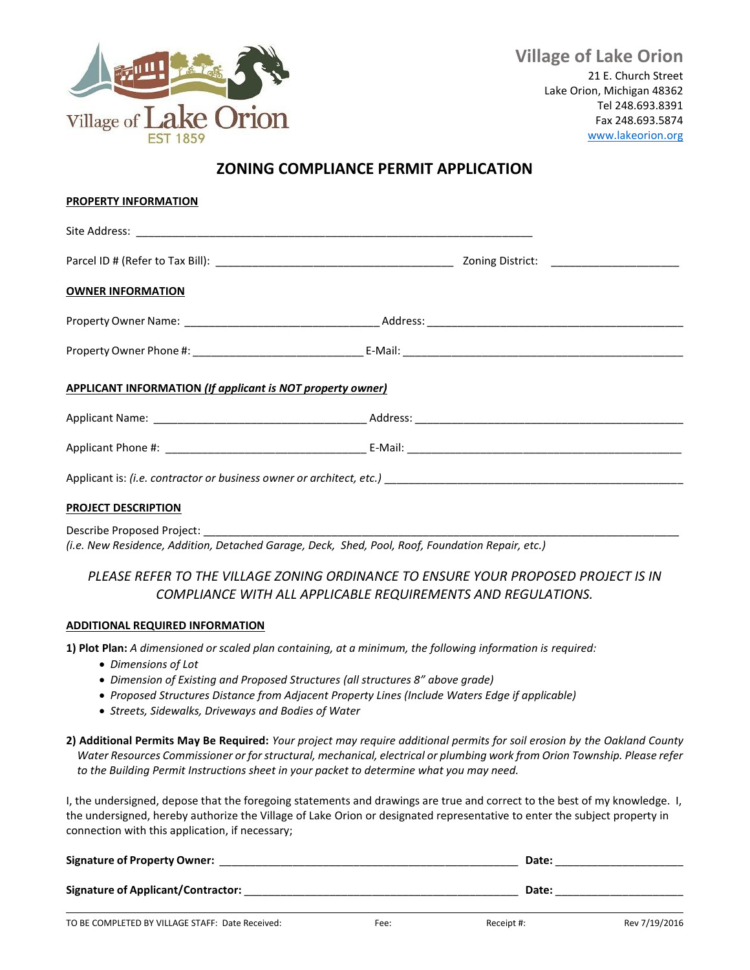

## **ZONING COMPLIANCE PERMIT APPLICATION**

| <b>PROPERTY INFORMATION</b>                                       |  |  |
|-------------------------------------------------------------------|--|--|
|                                                                   |  |  |
|                                                                   |  |  |
| <b>OWNER INFORMATION</b>                                          |  |  |
|                                                                   |  |  |
|                                                                   |  |  |
| <b>APPLICANT INFORMATION (If applicant is NOT property owner)</b> |  |  |
|                                                                   |  |  |
|                                                                   |  |  |
|                                                                   |  |  |
| <b>PROJECT DESCRIPTION</b>                                        |  |  |
|                                                                   |  |  |

*(i.e. New Residence, Addition, Detached Garage, Deck, Shed, Pool, Roof, Foundation Repair, etc.)*

## *PLEASE REFER TO THE VILLAGE ZONING ORDINANCE TO ENSURE YOUR PROPOSED PROJECT IS IN COMPLIANCE WITH ALL APPLICABLE REQUIREMENTS AND REGULATIONS.*

## **ADDITIONAL REQUIRED INFORMATION**

**1) Plot Plan:** *A dimensioned or scaled plan containing, at a minimum, the following information is required:*

- *Dimensions of Lot*
- *Dimension of Existing and Proposed Structures (all structures 8" above grade)*
- *Proposed Structures Distance from Adjacent Property Lines (Include Waters Edge if applicable)*
- *Streets, Sidewalks, Driveways and Bodies of Water*
- **2) Additional Permits May Be Required:** *Your project may require additional permits for soil erosion by the Oakland County Water Resources Commissioner or for structural, mechanical, electrical or plumbing work from Orion Township. Please refer to the Building Permit Instructions sheet in your packet to determine what you may need.*

I, the undersigned, depose that the foregoing statements and drawings are true and correct to the best of my knowledge. I, the undersigned, hereby authorize the Village of Lake Orion or designated representative to enter the subject property in connection with this application, if necessary;

| <b>Signature of Property Owner:</b> | Date: |
|-------------------------------------|-------|
| Signature of Applicant/Contractor:  | Date: |